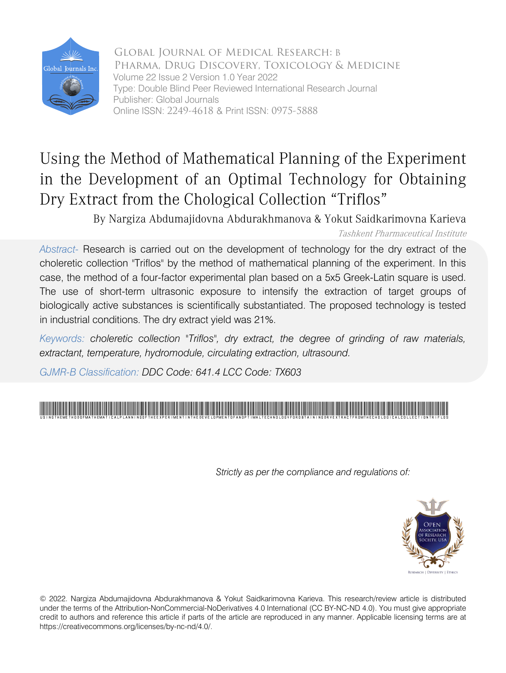

Global Journal of Medical Research: B Pharma, Drug Discovery, Toxicology & Medicine Volume 22 Issue 2 Version 1.0 Year 2022 Type: Double Blind Peer Reviewed International Research Journal Publisher: Global Journals Online ISSN: 2249-4618 & Print ISSN: 0975-5888

# Using the Method of Mathematical Planning of the Experiment in the Development of an Optimal Technology for Obtaining Dry Extract from the Chological Collection "Triflos"

By Nargiza Abdumajidovna Abdurakhmanova & Yokut Saidkarimovna Karieva Tashkent Pharmaceutical Institute

*Abstract-* Research is carried out on the development of technology for the dry extract of the choleretic collection "Triflos" by the method of mathematical planning of the experiment. In this case, the method of a four-factor experimental plan based on a 5x5 Greek-Latin square is used. The use of short-term ultrasonic exposure to intensify the extraction of target groups of biologically active substances is scientifically substantiated. The proposed technology is tested in industrial conditions. The dry extract yield was 21%.

*Keywords: choleretic collection "Triflos", dry extract, the degree of grinding of raw materials, extractant, temperature, hydromodule, circulating extraction, ultrasound.*

*GJMR-B Classification: DDC Code: 641.4 LCC Code: TX603*



*Strictly as per the compliance and regulations of:*



© 2022. Nargiza Abdumajidovna Abdurakhmanova & Yokut Saidkarimovna Karieva. This research/review article is distributed under the terms of the Attribution-NonCommercial-NoDerivatives 4.0 International (CC BY-NC-ND 4.0). You must give appropriate credit to authors and reference this article if parts of the article are reproduced in any manner. Applicable licensing terms are at https://creativecommons.org/licenses/by-nc-nd/4.0/.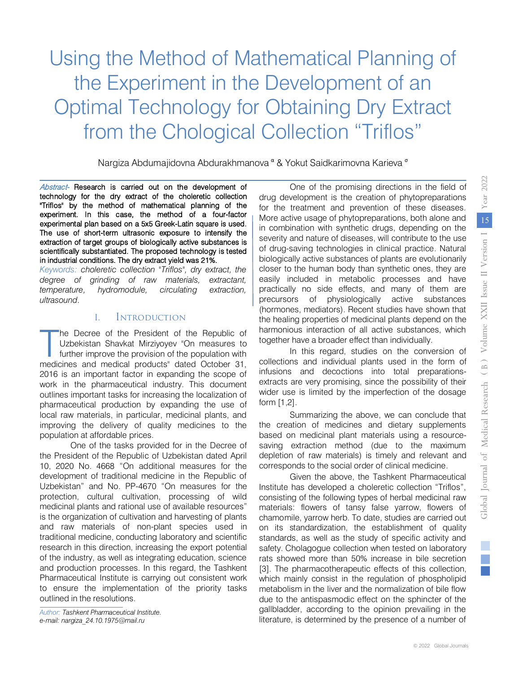# Using the Method of Mathematical Planning of the Experiment in the Development of an Optimal Technology for Obtaining Dry Extract from the Chological Collection "Triflos"

Nargiza Abdumajidovna Abdurakhmanova <sup>α</sup> & Yokut Saidkarimovna Karieva <sup>σ</sup>

Abstract- Research is carried out on the development of technology for the dry extract of the choleretic collection "Triflos" by the method of mathematical planning of the experiment. In this case, the method of a four-factor experimental plan based on a 5x5 Greek-Latin square is used. The use of short-term ultrasonic exposure to intensify the extraction of target groups of biologically active substances is scientifically substantiated. The proposed technology is tested in industrial conditions. The dry extract yield was 21%.

*Keywords: choleretic collection "Triflos", dry extract, the degree of grinding of raw materials, extractant, temperature, hydromodule, circulating extraction, ultrasound.*

# I. Introduction

he Decree of the President of the Republic of Uzbekistan Shavkat Mirziyoyev "On measures to further improve the provision of the population with The Decree of the President of the Republic of Uzbekistan Shavkat Mirziyoyev "On measures to further improve the provision of the population with medicines and medical products" dated October 31, 2016 is an important factor in expanding the scope of work in the pharmaceutical industry. This document outlines important tasks for increasing the localization of pharmaceutical production by expanding the use of local raw materials, in particular, medicinal plants, and improving the delivery of quality medicines to the population at affordable prices.

One of the tasks provided for in the Decree of the President of the Republic of Uzbekistan dated April 10, 2020 No. 4668 "On additional measures for the development of traditional medicine in the Republic of Uzbekistan" and No. PP-4670 "On measures for the protection, cultural cultivation, processing of wild medicinal plants and rational use of available resources" is the organization of cultivation and harvesting of plants and raw materials of non-plant species used in traditional medicine, conducting laboratory and scientific research in this direction, increasing the export potential of the industry, as well as integrating education, science and production processes. In this regard, the Tashkent Pharmaceutical Institute is carrying out consistent work to ensure the implementation of the priority tasks outlined in the resolutions.

*Author: [Tashkent Pharmaceutical Inst](mailto:nargiza_24.10.1975@mail.ru)itute. e-mail: nargiza\_24.10.1975@mail.ru*

One of the promising directions in the field of drug development is the creation of phytopreparations for the treatment and prevention of these diseases. More active usage of phytopreparations, both alone and in combination with synthetic drugs, depending on the severity and nature of diseases, will contribute to the use of drug-saving technologies in clinical practice. Natural biologically active substances of plants are evolutionarily closer to the human body than synthetic ones, they are easily included in metabolic processes and have practically no side effects, and many of them are precursors of physiologically active substances (hormones, mediators). Recent studies have shown that the healing properties of medicinal plants depend on the harmonious interaction of all active substances, which together have a broader effect than individually.

In this regard, studies on the conversion of collections and individual plants used in the form of infusions and decoctions into total preparationsextracts are very promising, since the possibility of their wider use is limited by the imperfection of the dosage form [1,2].

Summarizing the above, we can conclude that the creation of medicines and dietary supplements based on medicinal plant materials using a resourcesaving extraction method (due to the maximum depletion of raw materials) is timely and relevant and corresponds to the social order of clinical medicine.

Given the above, the Tashkent Pharmaceutical Institute has developed a choleretic collection "Triflos", consisting of the following types of herbal medicinal raw materials: flowers of tansy false yarrow, flowers of chamomile, yarrow herb. To date, studies are carried out on its standardization, the establishment of quality standards, as well as the study of specific activity and safety. Cholagogue collection when tested on laboratory rats showed more than 50% increase in bile secretion [3]. The pharmacotherapeutic effects of this collection, which mainly consist in the regulation of phospholipid metabolism in the liver and the normalization of bile flow due to the antispasmodic effect on the sphincter of the gallbladder, according to the opinion prevailing in the literature, is determined by the presence of a number of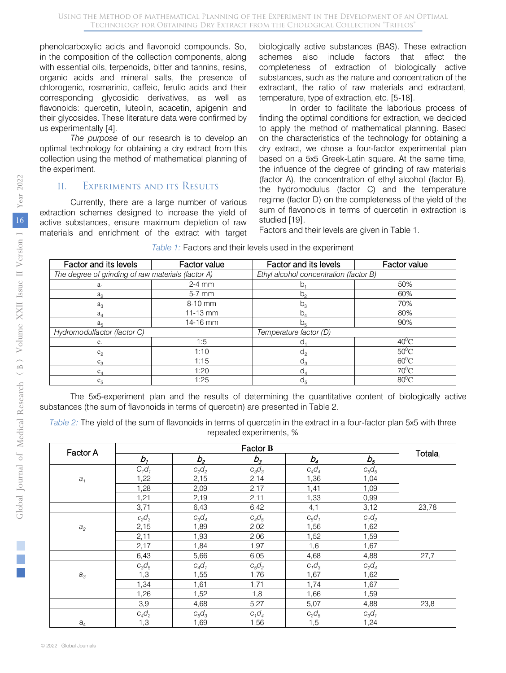phenolcarboxylic acids and flavonoid compounds. So, in the composition of the collection components, along with essential oils, terpenoids, bitter and tannins, resins, organic acids and mineral salts, the presence of chlorogenic, rosmarinic, caffeic, ferulic acids and their corresponding glycosidic derivatives, as well as flavonoids: quercetin, luteolin, acacetin, apigenin and their glycosides. These literature data were confirmed by us experimentally [4].

*The purpose* of our research is to develop an optimal technology for obtaining a dry extract from this collection using the method of mathematical planning of the experiment.

#### II. Experiments and its Results

Currently, there are a large number of various extraction schemes designed to increase the yield of active substances, ensure maximum depletion of raw materials and enrichment of the extract with target

biologically active substances (BAS). These extraction schemes also include factors that affect the completeness of extraction of biologically active substances, such as the nature and concentration of the extractant, the ratio of raw materials and extractant, temperature, type of extraction, etc. [5-18].

In order to facilitate the laborious process of finding the optimal conditions for extraction, we decided to apply the method of mathematical planning. Based on the characteristics of the technology for obtaining a dry extract, we chose a four-factor experimental plan based on a 5x5 Greek-Latin square. At the same time, the influence of the degree of grinding of raw materials (factor A), the concentration of ethyl alcohol (factor B), the hydromodulus (factor C) and the temperature regime (factor D) on the completeness of the yield of the sum of flavonoids in terms of quercetin in extraction is studied [19].

Factors and their levels are given in Table 1.

| Factor and its levels                              | Factor value | Factor and its levels                  | Factor value   |  |  |  |
|----------------------------------------------------|--------------|----------------------------------------|----------------|--|--|--|
| The degree of grinding of raw materials (factor A) |              | Ethyl alcohol concentration (factor B) |                |  |  |  |
| a <sub>1</sub>                                     | $2-4$ mm     | b                                      | 50%            |  |  |  |
| a <sub>2</sub>                                     | 5-7 mm       | $b_{\alpha}$                           | 60%            |  |  |  |
| $a_3$                                              | 8-10 mm      | $b^3$                                  | 70%            |  |  |  |
| $a_{\scriptscriptstyle{A}}$                        | $11-13$ mm   | b.                                     | 80%            |  |  |  |
| $a_{\kappa}$                                       | 14-16 mm     | $D_{\kappa}$                           | 90%            |  |  |  |
| Hydromodulfactor (factor C)                        |              | Temperature factor (D)                 |                |  |  |  |
| $c_{1}$                                            | 1:5          |                                        | $40^{\circ}$ C |  |  |  |
| $c_{\circ}$                                        | 1:10         | d.                                     | $50^{\circ}$ C |  |  |  |
|                                                    | 1:15         | d.                                     | $60^{\circ}$ C |  |  |  |
| $C_A$                                              | 1:20         | d                                      | $70^0$ C       |  |  |  |
| 1:25<br>$C_{\mathbf{r}}$                           |              | $d_{\kappa}$                           | $80^0$ C       |  |  |  |

*Table 1:* Factors and their levels used in the experiment

The 5x5-experiment plan and the results of determining the quantitative content of biologically active substances (the sum of flavonoids in terms of quercetin) are presented in Table 2.

*Table 2:* The yield of the sum of flavonoids in terms of quercetin in the extract in a four-factor plan 5x5 with three repeated experiments, %

| Factor A           |          |          |          |          |          |                     |
|--------------------|----------|----------|----------|----------|----------|---------------------|
|                    | b,       | $b_{2}$  | $b_{3}$  | $b_4$    | $b_{5}$  | Totala <sub>i</sub> |
|                    | $C_1d_1$ | $c_2d_2$ | $c_3d_3$ | $c_4d_4$ | $c_5d_5$ |                     |
| $a_1$              | 1,22     | 2,15     | 2,14     | 1,36     | 1,04     |                     |
|                    | 1,28     | 2,09     | 2,17     | 1,41     | 1,09     |                     |
|                    | 1,21     | 2,19     | 2,11     | 1,33     | 0,99     |                     |
|                    | 3,71     | 6,43     | 6,42     | 4,1      | 3,12     | 23,78               |
|                    | $c_2d_3$ | $c_3d_4$ | $c_4d_5$ | $c_5d_1$ | $c_1d_2$ |                     |
| $\boldsymbol{a}_2$ | 2,15     | 1,89     | 2,02     | 1,56     | 1,62     |                     |
|                    | 2,11     | 1,93     | 2,06     | 1,52     | 1,59     |                     |
|                    | 2,17     | 1,84     | 1,97     | 1,6      | 1,67     |                     |
|                    | 6,43     | 5,66     | 6,05     | 4,68     | 4,88     | 27,7                |
|                    | $c_3d_5$ | $c_4d_1$ | $c_5d_2$ | $c_1d_3$ | $c_2d_4$ |                     |
| $a_3$              | 1,3      | 1,55     | 1,76     | 1,67     | 1,62     |                     |
|                    | 1,34     | 1,61     | 1,71     | 1,74     | 1,67     |                     |
|                    | 1,26     | 1,52     | 1,8      | 1,66     | 1,59     |                     |
|                    | 3,9      | 4,68     | 5,27     | 5,07     | 4,88     | 23,8                |
|                    | $c_4d_2$ | $c_5d_3$ | $c_1d_4$ | $c_2d_5$ | $c_3d_1$ |                     |
| a <sub>4</sub>     | 1,3      | 1,69     | 1,56     | 1,5      | 1,24     |                     |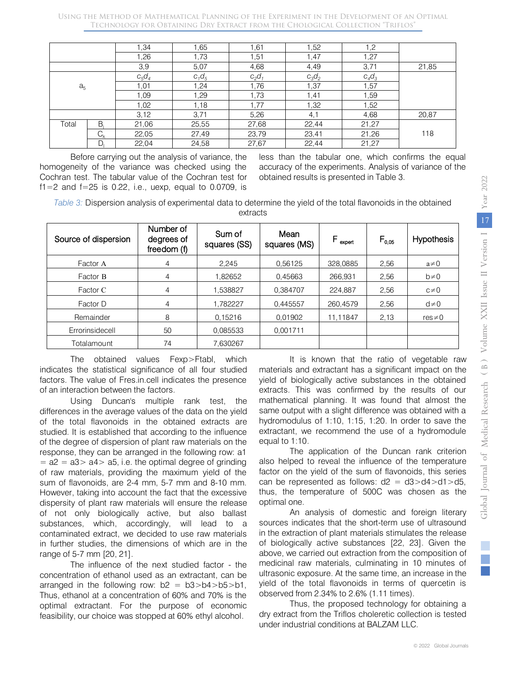|                |         | 1,34     | 1,65     | 1,61     | 1,52     | .2       |       |
|----------------|---------|----------|----------|----------|----------|----------|-------|
|                |         | 1,26     | 1,73     | 1,51     | 1,47     | 1,27     |       |
|                |         | 3,9      | 5,07     | 4,68     | 4,49     | 3,71     | 21,85 |
|                |         | $c_5d_4$ | $c_1d_5$ | $c_2d_1$ | $c_3d_2$ | $C_4C_3$ |       |
| a <sub>5</sub> |         | 1,01     | 1,24     | 1,76     | 1,37     | 1,57     |       |
|                |         | 1,09     | 1,29     | 1,73     | 1,41     | 1,59     |       |
|                |         | 1,02     | 1,18     | 1,77     | 1,32     | 1,52     |       |
|                |         | 3,12     | 3,71     | 5,26     | 4,1      | 4,68     | 20,87 |
| Total          | В       | 21,06    | 25,55    | 27,68    | 22,44    | 21,27    |       |
|                | $C_{k}$ | 22,05    | 27,49    | 23,79    | 23,41    | 21,26    | 118   |
|                | D       | 22,04    | 24,58    | 27,67    | 22,44    | 21,27    |       |

Before carrying out the analysis of variance, the homogeneity of the variance was checked using the Cochran test. The tabular value of the Cochran test for f1=2 and f=25 is 0.22, i.e., uexp, equal to 0.0709, is less than the tabular one, which confirms the equal accuracy of the experiments. Analysis of variance of the obtained results is presented in Table 3.

*Table 3:* Dispersion analysis of experimental data to determine the yield of the total flavonoids in the obtained extracts

| Source of dispersion | Number of<br>degrees of<br>freedom (f) | Sum of<br>squares (SS) | Mean<br>squares (MS) | $\mathsf{F}_{\sf{expert}}$ | $F_{0.05}$ | <b>Hypothesis</b> |
|----------------------|----------------------------------------|------------------------|----------------------|----------------------------|------------|-------------------|
| Factor A             | 4                                      | 2.245                  | 0.56125              | 328,0885                   | 2.56       | $a \neq 0$        |
| Factor B             | $\overline{4}$                         | 1.82652                | 0.45663              | 266.931                    | 2,56       | $b\neq 0$         |
| Factor C             | 4                                      | 1.538827               | 0.384707             | 224.887                    | 2,56       | $c\neq 0$         |
| Factor D             | 4                                      | 1,782227               | 0,445557             | 260.4579                   | 2,56       | $d\neq 0$         |
| Remainder            | 8                                      | 0.15216                | 0.01902              | 11,11847                   | 2,13       | $res \neq 0$      |
| Errorinsidecell      | 50                                     | 0.085533               | 0,001711             |                            |            |                   |
| Totalamount          | 74                                     | 7.630267               |                      |                            |            |                   |

The obtained values Fexp>Ftabl, which indicates the statistical significance of all four studied factors. The value of Fres.in.cell indicates the presence of an interaction between the factors.

Using Duncan's multiple rank test, the differences in the average values of the data on the yield of the total flavonoids in the obtained extracts are studied. It is established that according to the influence of the degree of dispersion of plant raw materials on the response, they can be arranged in the following row: a1  $= a2 = a3 > a4 > a5$ , i.e. the optimal degree of grinding of raw materials, providing the maximum yield of the sum of flavonoids, are 2-4 mm, 5-7 mm and 8-10 mm. However, taking into account the fact that the excessive dispersity of plant raw materials will ensure the release of not only biologically active, but also ballast substances, which, accordingly, will lead to a contaminated extract, we decided to use raw materials in further studies, the dimensions of which are in the range of 5-7 mm [20, 21].

The influence of the next studied factor - the concentration of ethanol used as an extractant, can be arranged in the following row:  $b2 = b3>b4>b5>b1$ , Thus, ethanol at a concentration of 60% and 70% is the optimal extractant. For the purpose of economic feasibility, our choice was stopped at 60% ethyl alcohol.

It is known that the ratio of vegetable raw materials and extractant has a significant impact on the yield of biologically active substances in the obtained extracts. This was confirmed by the results of our mathematical planning. It was found that almost the same output with a slight difference was obtained with a hydromodulus of 1:10, 1:15, 1:20. In order to save the extractant, we recommend the use of a hydromodule equal to 1:10.

The application of the Duncan rank criterion also helped to reveal the influence of the temperature factor on the yield of the sum of flavonoids, this series can be represented as follows:  $d2 = d3 > d4 > d1 > d5$ , thus, the temperature of 500C was chosen as the optimal one.

An analysis of domestic and foreign literary sources indicates that the short-term use of ultrasound in the extraction of plant materials stimulates the release of biologically active substances [22, 23]. Given the above, we carried out extraction from the composition of medicinal raw materials, culminating in 10 minutes of ultrasonic exposure. At the same time, an increase in the yield of the total flavonoids in terms of quercetin is observed from 2.34% to 2.6% (1.11 times).

Thus, the proposed technology for obtaining a dry extract from the Triflos choleretic collection is tested under industrial conditions at BALZAM LLC.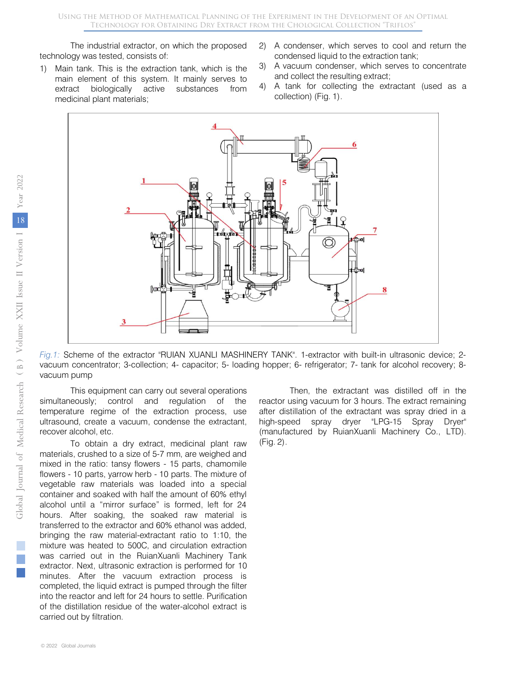The industrial extractor, on which the proposed technology was tested, consists of:

- 1) Main tank. This is the extraction tank, which is the main element of this system. It mainly serves to extract biologically active substances from medicinal plant materials;
- 2) A condenser, which serves to cool and return the condensed liquid to the extraction tank;
- 3) A vacuum condenser, which serves to concentrate and collect the resulting extract;
- 4) A tank for collecting the extractant (used as a collection) (Fig. 1).



*Fig.1:* Scheme of the extractor "RUIAN XUANLI MASHINERY TANK". 1-extractor with built-in ultrasonic device; 2 vacuum concentrator; 3-collection; 4- capacitor; 5- loading hopper; 6- refrigerator; 7- tank for alcohol recovery; 8 vacuum pump

This equipment can carry out several operations simultaneously; control and regulation of the temperature regime of the extraction process, use ultrasound, create a vacuum, condense the extractant, recover alcohol, etc.

To obtain a dry extract, medicinal plant raw materials, crushed to a size of 5-7 mm, are weighed and mixed in the ratio: tansy flowers - 15 parts, chamomile flowers - 10 parts, yarrow herb - 10 parts. The mixture of vegetable raw materials was loaded into a special container and soaked with half the amount of 60% ethyl alcohol until a "mirror surface" is formed, left for 24 hours. After soaking, the soaked raw material is transferred to the extractor and 60% ethanol was added, bringing the raw material-extractant ratio to 1:10, the mixture was heated to 500C, and circulation extraction was carried out in the RuianXuanli Machinery Tank extractor. Next, ultrasonic extraction is performed for 10 minutes. After the vacuum extraction process is completed, the liquid extract is pumped through the filter into the reactor and left for 24 hours to settle. Purification of the distillation residue of the water-alcohol extract is carried out by filtration.

Then, the extractant was distilled off in the reactor using vacuum for 3 hours. The extract remaining after distillation of the extractant was spray dried in a high-speed spray dryer "LPG-15 Spray Dryer" (manufactured by RuianXuanli Machinery Co., LTD). (Fig. 2).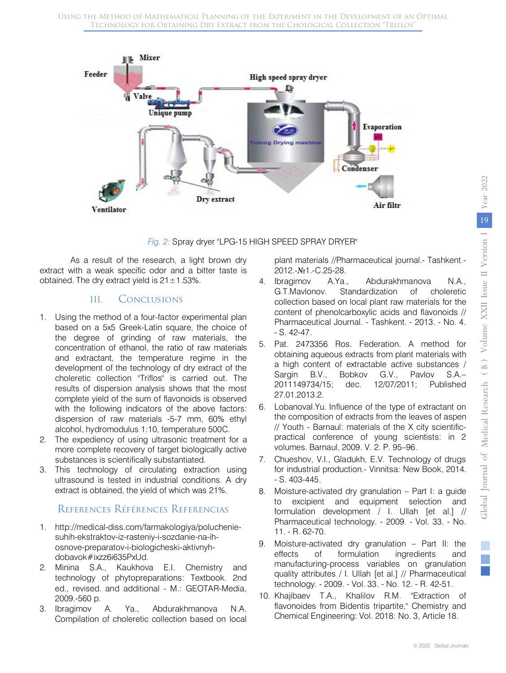

#### *Fig. 2:* Spray dryer "LPG-15 HIGH SPEED SPRAY DRYER"

As a result of the research, a light brown dry extract with a weak specific odor and a bitter taste is obtained. The dry extract yield is  $21 \pm 1.53\%$ .

# III. Conclusions

- 1. Using the method of a four-factor experimental plan based on a 5x5 Greek-Latin square, the choice of the degree of grinding of raw materials, the concentration of ethanol, the ratio of raw materials and extractant, the temperature regime in the development of the technology of dry extract of the choleretic collection "Triflos" is carried out. The results of dispersion analysis shows that the most complete yield of the sum of flavonoids is observed with the following indicators of the above factors: dispersion of raw materials -5-7 mm, 60% ethyl alcohol, hydromodulus 1:10, temperature 500C.
- 2. The expediency of using ultrasonic treatment for a more complete recovery of target biologically active substances is scientifically substantiated.
- 3. This technology of circulating extraction using ultrasound is tested in industrial conditions. A dry extract is obtained, the yield of which was 21%.

# References Références Referencias

- 1. http://medical-diss.com/farmakologiya/polucheniesuhih-ekstraktov-iz-rasteniy-i-sozdanie-na-ihosnove-preparatov-i-biologicheski-aktivnyhdobavok#ixzz6i635PxUd.
- 2. Minina S.A., Kaukhova E.I. Chemistry and technology of phytopreparations: Textbook. 2nd ed., revised. and additional - M.: GEOTAR-Media, 2009.-560 p.
- 3. Ibragimov A. Ya., Abdurakhmanova N.A. Compilation of choleretic collection based on local

plant materials //Pharmaceutical journal.- Tashkent.- 2012.-№1.-C.25-28.

- 4. Ibragimov A.Ya., Abdurakhmanova N.A., G.T.Mavlonov. Standardization of choleretic collection based on local plant raw materials for the content of phenolcarboxylic acids and flavonoids // Pharmaceutical Journal. - Tashkent. - 2013. - No. 4. - S. 42-47.
- 5. Pat. 2473356 Ros. Federation. A method for obtaining aqueous extracts from plant materials with a high content of extractable active substances / Sargin B.V., Bobkov G.V., Pavlov S.A.– 2011149734/15; dec. 12/07/2011; Published 27.01.2013.2.
- 6. LobanovaI.Yu. Influence of the type of extractant on the composition of extracts from the leaves of aspen // Youth - Barnaul: materials of the X city scientificpractical conference of young scientists: in 2 volumes. Barnaul, 2009. V. 2. P. 95–96.
- 7. Chueshov, V.I., Gladukh, E.V. Technology of drugs for industrial production.- Vinnitsa: New Book, 2014. - S. 403-445.
- 8. Moisture-activated dry granulation Part I: a guide to excipient and equipment selection and formulation development / I. Ullah [et al.] // Pharmaceutical technology. - 2009. - Vol. 33. - No. 11. - R. 62-70.
- 9. Moisture-activated dry granulation Part II: the effects of formulation ingredients and manufacturing-process variables on granulation quality attributes / I. Ullah [et al.] // Pharmaceutical technology. - 2009. - Vol. 33. - No. 12. - R. 42-51.
- 10. Khajibaev T.A., Khalilov R.M. "Extraction of flavonoides from Bidentis tripartite," Chemistry and Chemical Engineering: Vol. 2018: No. 3, Article 18.